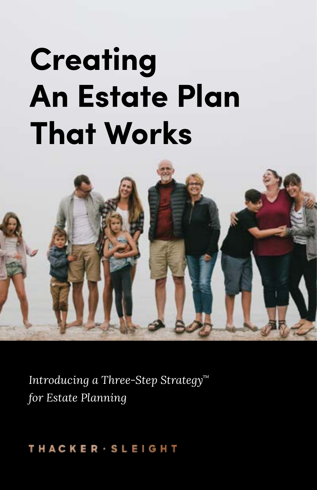# **Creating An Estate Plan That Works**



*Introducing a Three-Step Strategy™ for Estate Planning*

### THACKER · SLEIGHT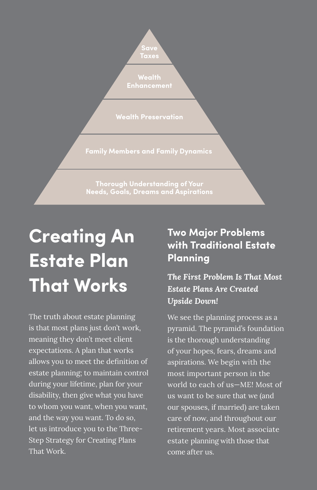

**Wealth Preservation**

**Family Members and Family Dynamics**

**Thorough Understanding of Your** 

# **Creating An Estate Plan That Works**

The truth about estate planning is that most plans just don't work, meaning they don't meet client expectations. A plan that works allows you to meet the definition of estate planning; to maintain control during your lifetime, plan for your disability, then give what you have to whom you want, when you want, and the way you want. To do so, let us introduce you to the Three-Step Strategy for Creating Plans That Work.

### **Two Major Problems with Traditional Estate Planning**

*The First Problem Is That Most Estate Plans Are Created Upside Down!* 

We see the planning process as a pyramid. The pyramid's foundation is the thorough understanding of your hopes, fears, dreams and aspirations. We begin with the most important person in the world to each of us—ME! Most of us want to be sure that we (and our spouses, if married) are taken care of now, and throughout our retirement years. Most associate estate planning with those that come after us.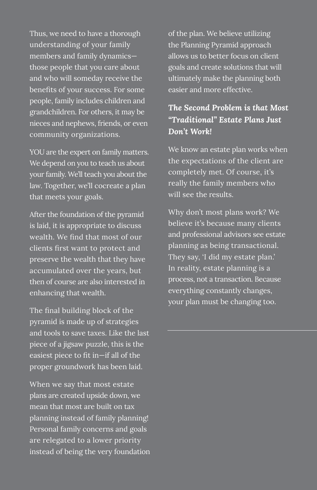Thus, we need to have a thorough understanding of your family members and family dynamics those people that you care about and who will someday receive the benefits of your success. For some people, family includes children and grandchildren. For others, it may be nieces and nephews, friends, or even community organizations.

YOU are the expert on family matters. We depend on you to teach us about your family. We'll teach you about the law. Together, we'll cocreate a plan that meets your goals.

After the foundation of the pyramid is laid, it is appropriate to discuss wealth. We find that most of our clients first want to protect and preserve the wealth that they have accumulated over the years, but then of course are also interested in enhancing that wealth.

The final building block of the pyramid is made up of strategies and tools to save taxes. Like the last piece of a jigsaw puzzle, this is the easiest piece to fit in—if all of the proper groundwork has been laid.

When we say that most estate plans are created upside down, we mean that most are built on tax planning instead of family planning! Personal family concerns and goals are relegated to a lower priority instead of being the very foundation of the plan. We believe utilizing the Planning Pyramid approach allows us to better focus on client goals and create solutions that will ultimately make the planning both easier and more effective.

#### *The Second Problem is that Most "Traditional" Estate Plans Just Don't Work!*

We know an estate plan works when the expectations of the client are completely met. Of course, it's really the family members who will see the results.

Why don't most plans work? We believe it's because many clients and professional advisors see estate planning as being transactional. They say, 'I did my estate plan.' In reality, estate planning is a process, not a transaction. Because everything constantly changes, your plan must be changing too.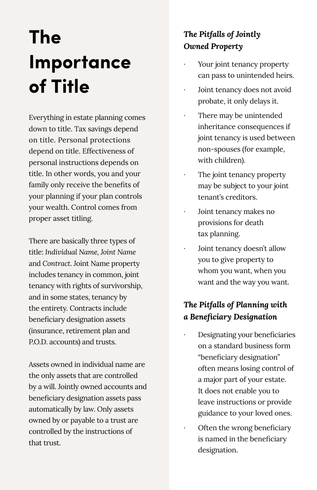# **The Importance of Title**

Everything in estate planning comes down to title. Tax savings depend on title. Personal protections depend on title. Effectiveness of personal instructions depends on title. In other words, you and your family only receive the benefits of your planning if your plan controls your wealth. Control comes from proper asset titling.

There are basically three types of title: *Individual Name, Joint Name* and *Contract*. Joint Name property includes tenancy in common, joint tenancy with rights of survivorship, and in some states, tenancy by the entirety. Contracts include beneficiary designation assets (insurance, retirement plan and P.O.D. accounts) and trusts.

Assets owned in individual name are the only assets that are controlled by a will. Jointly owned accounts and beneficiary designation assets pass automatically by law. Only assets owned by or payable to a trust are controlled by the instructions of that trust.

### *The Pitfalls of Jointly Owned Property*

- Your joint tenancy property can pass to unintended heirs.
- Joint tenancy does not avoid probate, it only delays it.
- There may be unintended inheritance consequences if joint tenancy is used between non-spouses (for example, with children).
- The joint tenancy property may be subject to your joint tenant's creditors.
- Joint tenancy makes no provisions for death tax planning.
- Joint tenancy doesn't allow you to give property to whom you want, when you want and the way you want.

### *The Pitfalls of Planning with a Beneficiary Designation*

- ʫ Designating your beneficiaries on a standard business form "beneficiary designation" often means losing control of a major part of your estate. It does not enable you to leave instructions or provide guidance to your loved ones.
- Often the wrong beneficiary is named in the beneficiary designation.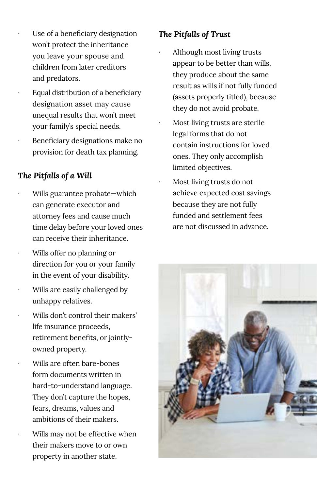- Use of a beneficiary designation won't protect the inheritance you leave your spouse and children from later creditors and predators.
- Equal distribution of a beneficiary designation asset may cause unequal results that won't meet your family's special needs.
- ʫ Beneficiary designations make no provision for death tax planning.

#### *The Pitfalls of a Will*

- Wills guarantee probate—which can generate executor and attorney fees and cause much time delay before your loved ones can receive their inheritance.
- ʫ Wills offer no planning or direction for you or your family in the event of your disability.
- Wills are easily challenged by unhappy relatives.
- Wills don't control their makers' life insurance proceeds, retirement benefits, or jointlyowned property.
- ʫ Wills are often bare-bones form documents written in hard-to-understand language. They don't capture the hopes, fears, dreams, values and ambitions of their makers.
	- Wills may not be effective when their makers move to or own property in another state.

#### *The Pitfalls of Trust*

- ʫ Although most living trusts appear to be better than wills, they produce about the same result as wills if not fully funded (assets properly titled), because they do not avoid probate.
- ʫ Most living trusts are sterile legal forms that do not contain instructions for loved ones. They only accomplish limited objectives.
	- ʫ Most living trusts do not achieve expected cost savings because they are not fully funded and settlement fees are not discussed in advance.

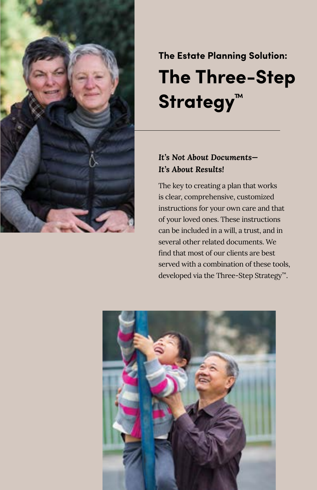

## **The Three-Step Strategy™ The Estate Planning Solution:**

#### *It's Not About Documents— It's About Results!*

The key to creating a plan that works is clear, comprehensive, customized instructions for your own care and that of your loved ones. These instructions can be included in a will, a trust, and in several other related documents. We find that most of our clients are best served with a combination of these tools, developed via the Three-Step Strategy™.

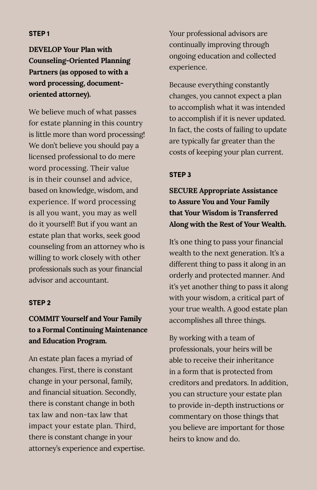#### **STEP 1**

**DEVELOP Your Plan with Counseling-Oriented Planning Partners (as opposed to with a word processing, documentoriented attorney).**

We believe much of what passes for estate planning in this country is little more than word processing! We don't believe you should pay a licensed professional to do mere word processing. Their value is in their counsel and advice, based on knowledge, wisdom, and experience. If word processing is all you want, you may as well do it yourself! But if you want an estate plan that works, seek good counseling from an attorney who is willing to work closely with other professionals such as your financial advisor and accountant.

#### **STEP 2**

#### **COMMIT Yourself and Your Family to a Formal Continuing Maintenance and Education Program.**

An estate plan faces a myriad of changes. First, there is constant change in your personal, family, and financial situation. Secondly, there is constant change in both tax law and non-tax law that impact your estate plan. Third, there is constant change in your attorney's experience and expertise. Your professional advisors are continually improving through ongoing education and collected experience.

Because everything constantly changes, you cannot expect a plan to accomplish what it was intended to accomplish if it is never updated. In fact, the costs of failing to update are typically far greater than the costs of keeping your plan current.

#### **STEP 3**

**SECURE Appropriate Assistance to Assure You and Your Family that Your Wisdom is Transferred Along with the Rest of Your Wealth.**

It's one thing to pass your financial wealth to the next generation. It's a different thing to pass it along in an orderly and protected manner. And it's yet another thing to pass it along with your wisdom, a critical part of your true wealth. A good estate plan accomplishes all three things.

By working with a team of professionals, your heirs will be able to receive their inheritance in a form that is protected from creditors and predators. In addition, you can structure your estate plan to provide in-depth instructions or commentary on those things that you believe are important for those heirs to know and do.